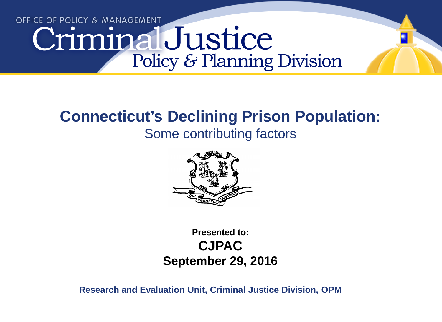# OFFICE OF POLICY & MANAGEMENT CriminalJustice Policy & Planning Division

#### **Connecticut's Declining Prison Population:**

#### Some contributing factors



**Presented to: CJPAC September 29, 2016**

**Research and Evaluation Unit, Criminal Justice Division, OPM**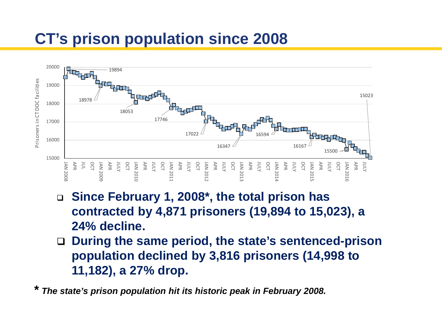## **CT's prison population since 2008**



- **Since February 1, 2008\*, the total prison has contracted by 4,871 prisoners (19,894 to 15,023), a 24% decline.**
- **During the same period, the state's sentenced-prison population declined by 3,816 prisoners (14,998 to 11,182), a 27% drop.**

**\*** *The state's prison population hit its historic peak in February 2008.*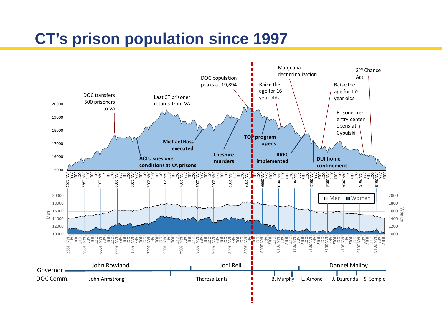## **CT's prison population since 1997**

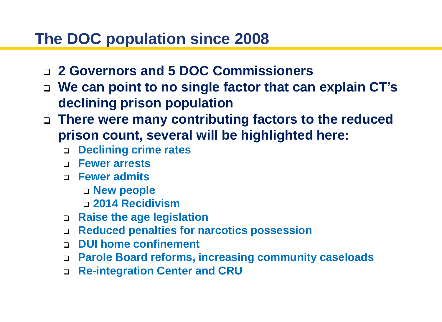#### **The DOC population since 2008**

- **2 Governors and 5 DOC Commissioners**
- **We can point to no single factor that can explain CT's declining prison population**
- **There were many contributing factors to the reduced prison count, several will be highlighted here:**
	- **Declining crime rates**
	- **Fewer arrests**
	- **Fewer admits**
		- **New people**
		- **2014 Recidivism**
	- **Raise the age legislation**
	- **Reduced penalties for narcotics possession**
	- **DUI home confinement**
	- **Parole Board reforms, increasing community caseloads**
	- **Re-integration Center and CRU**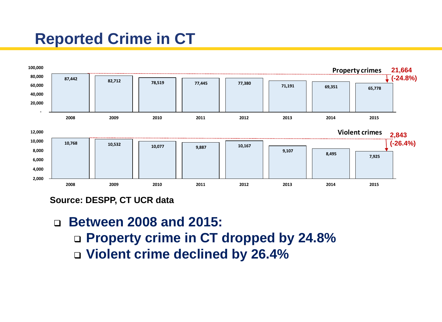## **Reported Crime in CT**



**Source: DESPP, CT UCR data**

 **Between 2008 and 2015: Property crime in CT dropped by 24.8% Violent crime declined by 26.4%**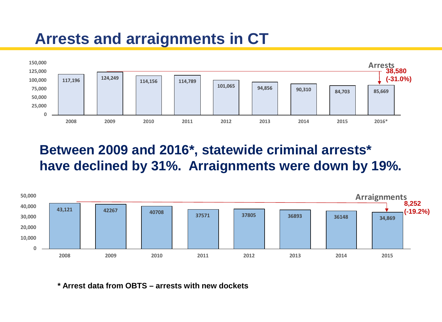## **Arrests and arraignments in CT**



**Between 2009 and 2016\*, statewide criminal arrests\* have declined by 31%. Arraignments were down by 19%.**



**\* Arrest data from OBTS – arrests with new dockets**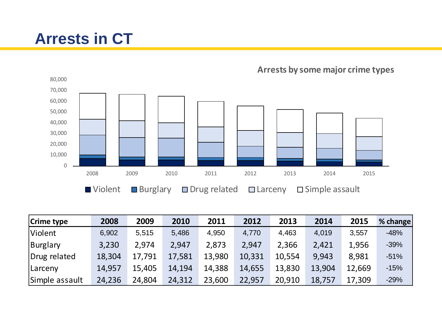## **Arrests in CT**



**Arrests by some major crime types**

| <b>Crime type</b> | 2008   | 2009   | 2010   | 2011   | 2012   | 2013   | 2014   | 2015   | % change |
|-------------------|--------|--------|--------|--------|--------|--------|--------|--------|----------|
| <b>Violent</b>    | 6,902  | 5,515  | 5,486  | 4,950  | 4,770  | 4,463  | 4,019  | 3,557  | $-48%$   |
| Burglary          | 3,230  | 2,974  | 2,947  | 2,873  | 2,947  | 2,366  | 2,421  | 1,956  | $-39%$   |
| Drug related      | 18,304 | 17,791 | 17,581 | 13,980 | 10,331 | 10,554 | 9,943  | 8,981  | $-51%$   |
| <b>Larceny</b>    | 14,957 | 15,405 | 14,194 | 14,388 | 14,655 | 13,830 | 13,904 | 12,669 | $-15%$   |
| Simple assault    | 24,236 | 24,804 | 24,312 | 23,600 | 22,957 | 20,910 | 18,757 | 17,309 | $-29%$   |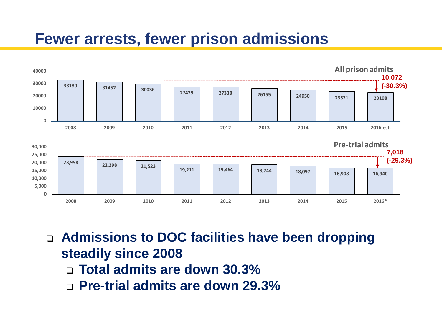#### **Fewer arrests, fewer prison admissions**



 **Admissions to DOC facilities have been dropping steadily since 2008 Total admits are down 30.3% Pre-trial admits are down 29.3%**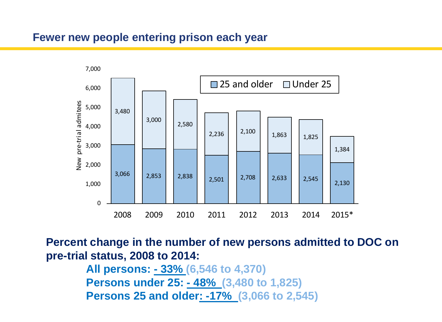#### **Fewer new people entering prison each year**



**Percent change in the number of new persons admitted to DOC on pre-trial status, 2008 to 2014:**

> **All persons: - 33% (6,546 to 4,370) Persons under 25: - 48% (3,480 to 1,825) Persons 25 and older: -17% (3,066 to 2,545)**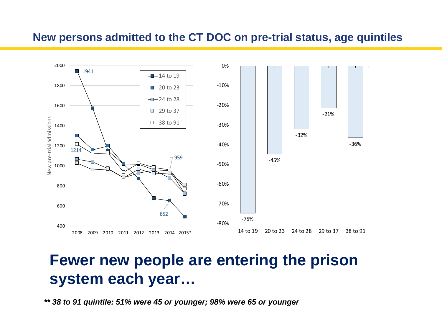#### **New persons admitted to the CT DOC on pre-trial status, age quintiles**



#### **Fewer new people are entering the prison system each year…**

*\*\* 38 to 91 quintile: 51% were 45 or younger; 98% were 65 or younger*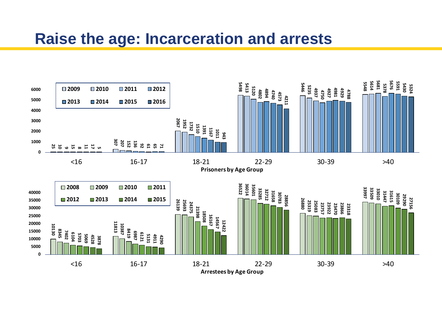#### **Raise the age: Incarceration and arrests**

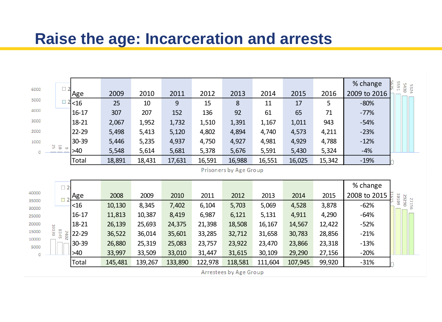#### **Raise the age: Incarceration and arrests**

|                |                                               |            |        |        |        |        |                               |        |        |        | % change<br><b>5591</b> |              |
|----------------|-----------------------------------------------|------------|--------|--------|--------|--------|-------------------------------|--------|--------|--------|-------------------------|--------------|
| 6000           | $\Box$                                        | Age        | 2009   | 2010   | 2011   | 2012   | 2013                          | 2014   | 2015   | 2016   | 2009 to 2016            | 5430<br>5324 |
| 5000           |                                               | <16        | 25     | 10     | 9      | 15     | 8                             | 11     | 17     | 5      | $-80%$                  |              |
| 4000           |                                               | $16 - 17$  | 307    | 207    | 152    | 136    | 92                            | 61     | 65     | 71     | $-77%$                  |              |
| 3000           |                                               | $18 - 21$  | 2,067  | 1,952  | 1,732  | 1,510  | 1,391                         | 1,167  | 1,011  | 943    | $-54%$                  |              |
| 2000           |                                               | $22 - 29$  | 5,498  | 5,413  | 5,120  | 4,802  | 4,894                         | 4,740  | 4,573  | 4,211  | $-23%$                  |              |
| 1000           |                                               | $30 - 39$  | 5,446  | 5,235  | 4,937  | 4,750  | 4,927                         | 4,981  | 4,929  | 4,788  | $-12%$                  |              |
| 0              | $\begin{array}{c} 0 \\ 0 \\ 0 \\ \end{array}$ | >40        | 5,548  | 5,614  | 5,681  | 5,378  | 5,676                         | 5,591  | 5,430  | 5,324  | $-4%$                   |              |
|                |                                               | Total      | 18,891 | 18,431 | 17,631 | 16,591 | 16,988                        | 16,551 | 16,025 | 15,342 | $-19%$                  |              |
|                |                                               |            |        |        |        |        |                               |        |        |        |                         |              |
|                |                                               |            |        |        |        |        | <b>Prisoners by Age Group</b> |        |        |        |                         |              |
|                |                                               |            |        |        |        |        |                               |        |        |        | % change                |              |
| 40000          | $\Box$ 2                                      |            | 2008   | 2009   | 2010   | 2011   | 2012                          | 2013   | 2014   | 2015   | 2008 to 2015            |              |
| 35000          | $\overline{\phantom{a}}$                      | Age<br><16 | 10,130 | 8,345  | 7,402  | 6,104  | 5,703                         | 5,069  | 4,528  | 3,878  | 30109<br>$-62%$         | 06262        |
| 30000<br>25000 |                                               | $16 - 17$  | 11,813 | 10,387 | 8,419  | 6,987  | 6,121                         | 5,131  | 4,911  | 4,290  | $-64%$                  | 27156        |
| 20000          |                                               | 18-21      | 26,139 | 25,693 | 24,375 | 21,398 | 18,508                        | 16,167 | 14,567 | 12,422 | $-52%$                  |              |
| 15000          | 10130                                         | $22 - 29$  | 36,522 | 36,014 | 35,601 | 33,285 | 32,712                        | 31,658 | 30,783 | 28,856 | $-21%$                  |              |
| 10000          | S <sub>24</sub> 5<br>2402                     | $30 - 39$  | 26,880 | 25,319 | 25,083 | 23,757 | 23,922                        | 23,470 | 23,866 | 23,318 | $-13%$                  |              |
| 5000<br>Ó      |                                               | $>40$      | 33,997 | 33,509 | 33,010 | 31,447 | 31,615                        | 30,109 | 29,290 | 27,156 | $-20%$                  |              |

**Arrestees by Age Group**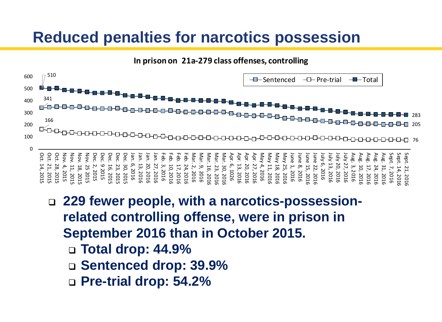#### **Reduced penalties for narcotics possession**

**In prison on 21a-279 class offenses, controlling**



- **229 fewer people, with a narcotics-possessionrelated controlling offense, were in prison in September 2016 than in October 2015.** 
	- **Total drop: 44.9%**
	- **Sentenced drop: 39.9%**
	- **Pre-trial drop: 54.2%**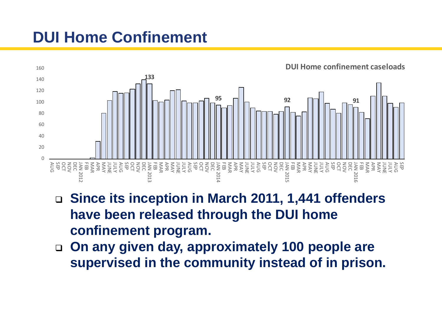## **DUI Home Confinement**



- **Since its inception in March 2011, 1,441 offenders have been released through the DUI home confinement program.**
- **On any given day, approximately 100 people are supervised in the community instead of in prison.**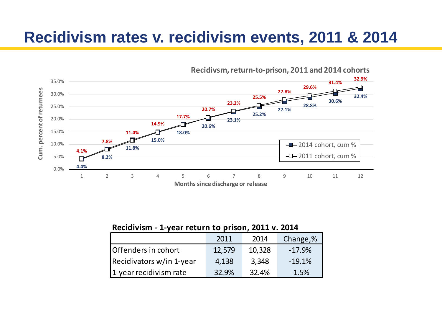#### **Recidivism rates v. recidivism events, 2011 & 2014**



**Recidivsm, return-to-prison, 2011 and 2014 cohorts**

**Recidivism - 1-year return to prison, 2011 v. 2014**

|                          | 2011   | 2014   | Change,% |
|--------------------------|--------|--------|----------|
| Offenders in cohort      | 12,579 | 10,328 | $-17.9%$ |
| Recidivators w/in 1-year | 4,138  | 3,348  | $-19.1%$ |
| 1-year recidivism rate   | 32.9%  | 32.4%  | $-1.5%$  |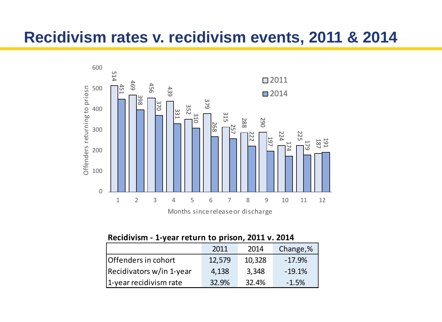#### **Recidivism rates v. recidivism events, 2011 & 2014**



| Recidivism - 1-year return to prison, 2011 v. 2014 |
|----------------------------------------------------|
|----------------------------------------------------|

|                          | 2011   | 2014   | Change,% |
|--------------------------|--------|--------|----------|
| Offenders in cohort      | 12,579 | 10,328 | $-17.9%$ |
| Recidivators w/in 1-year | 4,138  | 3,348  | $-19.1%$ |
| 1-year recidivism rate   | 32.9%  | 32.4%  | $-1.5%$  |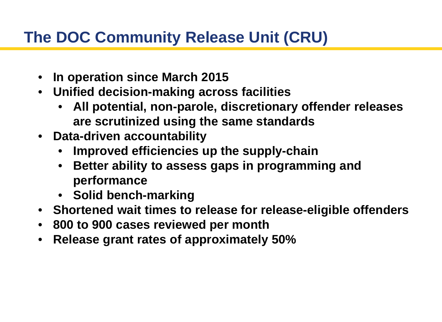## **The DOC Community Release Unit (CRU)**

- **In operation since March 2015**
- **Unified decision-making across facilities**
	- **All potential, non-parole, discretionary offender releases are scrutinized using the same standards**
- **Data-driven accountability**
	- **Improved efficiencies up the supply-chain**
	- **Better ability to assess gaps in programming and performance**
	- **Solid bench-marking**
- **Shortened wait times to release for release-eligible offenders**
- **800 to 900 cases reviewed per month**
- **Release grant rates of approximately 50%**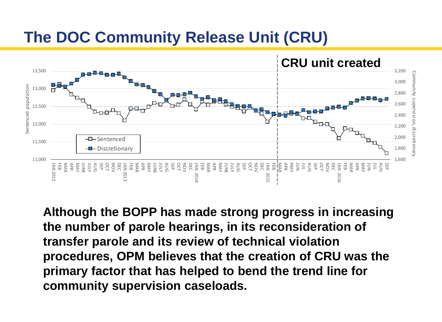#### **The DOC Community Release Unit (CRU)**



**Although the BOPP has made strong progress in increasing the number of parole hearings, in its reconsideration of transfer parole and its review of technical violation procedures, OPM believes that the creation of CRU was the primary factor that has helped to bend the trend line for community supervision caseloads.**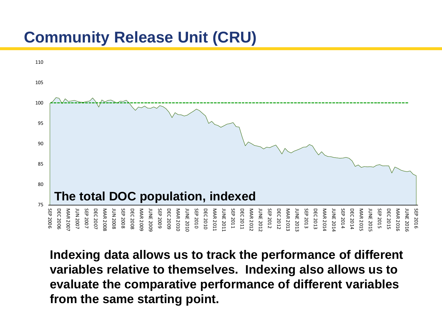

**Indexing data allows us to track the performance of different variables relative to themselves. Indexing also allows us to evaluate the comparative performance of different variables from the same starting point.**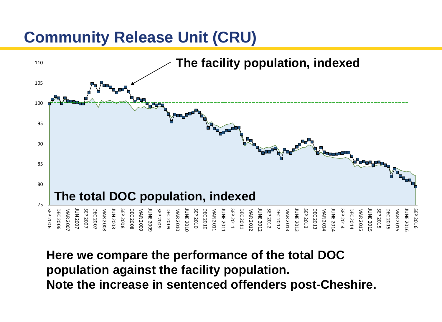

**Here we compare the performance of the total DOC population against the facility population. Note the increase in sentenced offenders post-Cheshire.**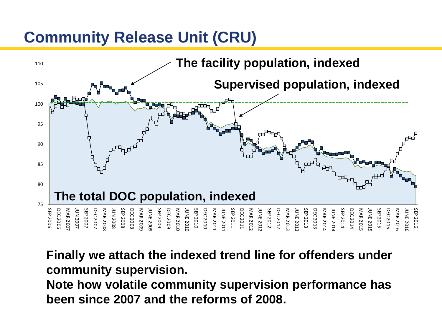

**Finally we attach the indexed trend line for offenders under community supervision.** 

**Note how volatile community supervision performance has been since 2007 and the reforms of 2008.**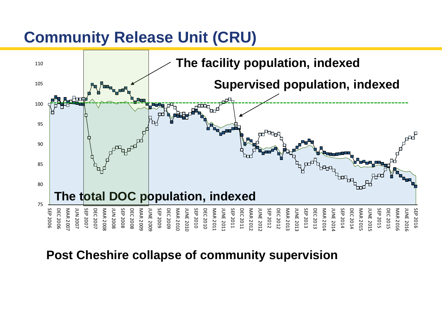

#### **Post Cheshire collapse of community supervision**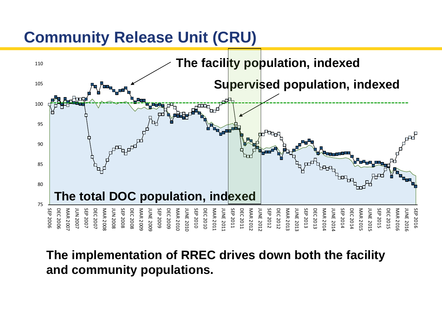

**The implementation of RREC drives down both the facility and community populations.**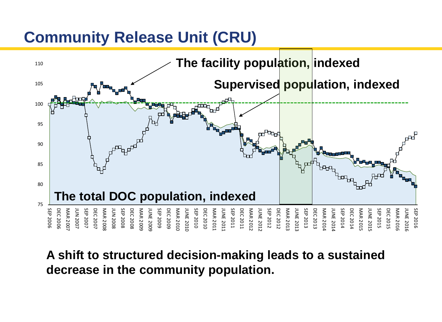

**A shift to structured decision-making leads to a sustained decrease in the community population.**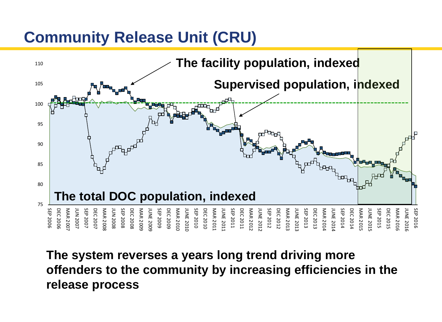

**The system reverses a years long trend driving more offenders to the community by increasing efficiencies in the release process**